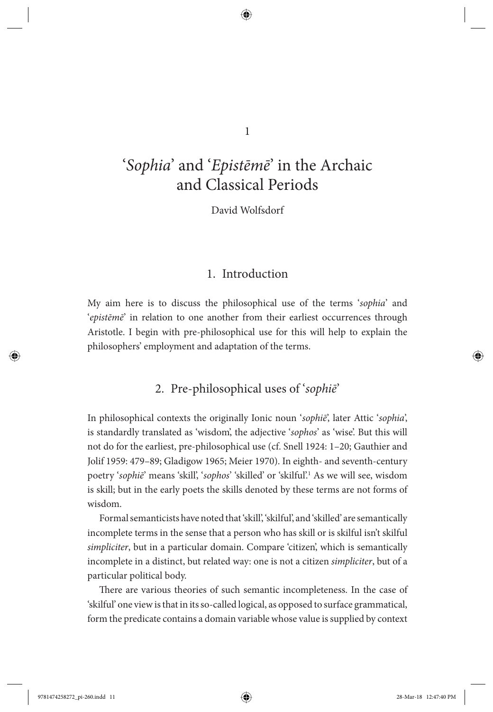# ' *Sophia* ' and ' *Epist*ē*m*ē ' in the Archaic and Classical Periods

David Wolfsdorf

#### 1. Introduction

My aim here is to discuss the philosophical use of the terms 'sophia' and '*epistēmē*' in relation to one another from their earliest occurrences through Aristotle. I begin with pre- philosophical use for this will help to explain the philosophers' employment and adaptation of the terms.

2. Pre-philosophical uses of 'sophie'

In philosophical contexts the originally Ionic noun 'sophie', later Attic 'sophia', is standardly translated as 'wisdom', the adjective 'sophos' as 'wise'. But this will not do for the earliest, pre-philosophical use (cf. Snell 1924: 1–20; Gauthier and Jolif 1959: 479-89; Gladigow 1965; Meier 1970). In eighth- and seventh-century poetry 'sophiē' means 'skill', 'sophos' 'skilled' or 'skilful'.<sup>1</sup> As we will see, wisdom is skill; but in the early poets the skills denoted by these terms are not forms of wisdom.

 Formal semanticists have noted that 'skill', 'skilful', and 'skilled' are semantically incomplete terms in the sense that a person who has skill or is skilful isn't skilful *simpliciter* , but in a particular domain. Compare 'citizen', which is semantically incomplete in a distinct, but related way: one is not a citizen *simpliciter* , but of a particular political body.

There are various theories of such semantic incompleteness. In the case of 'skilful' one view is that in its so- called logical, as opposed to surface grammatical, form the predicate contains a domain variable whose value is supplied by context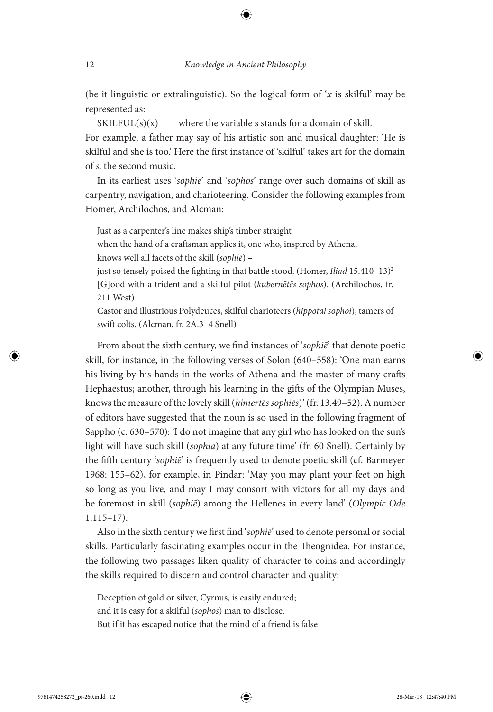(be it linguistic or extralinguistic). So the logical form of  $x$  is skilful' may be represented as:

 $SKILEUL(s)(x)$  where the variable s stands for a domain of skill. For example, a father may say of his artistic son and musical daughter: 'He is skilful and she is too.' Here the first instance of 'skilful' takes art for the domain of *s* , the second music.

In its earliest uses 'sophie' and 'sophos' range over such domains of skill as carpentry, navigation, and charioteering. Consider the following examples from Homer, Archilochos, and Alcman:

 Just as a carpenter's line makes ship's timber straight when the hand of a craftsman applies it, one who, inspired by Athena, knows well all facets of the skill (*sophië*) just so tensely poised the fighting in that battle stood. (Homer, *Iliad* 15.410–13)<sup>2</sup>

 [G] ood with a trident and a skilful pilot ( *kubern*ē*t*ē*s sophos* ). (Archilochos, fr. 211 West)

 Castor and illustrious Polydeuces, skilful charioteers ( *hippotai sophoi* ), tamers of swift colts. (Alcman, fr. 2A.3–4 Snell)

From about the sixth century, we find instances of '*sophie*' that denote poetic skill, for instance, in the following verses of Solon (640–558): 'One man earns his living by his hands in the works of Athena and the master of many crafts Hephaestus; another, through his learning in the gifts of the Olympian Muses, knows the measure of the lovely skill (*himertēs sophiēs*)' (fr. 13.49-52). A number of editors have suggested that the noun is so used in the following fragment of Sappho (c. 630–570): 'I do not imagine that any girl who has looked on the sun's light will have such skill (*sophia*) at any future time' (fr. 60 Snell). Certainly by the fifth century 'sophie' is frequently used to denote poetic skill (cf. Barmeyer 1968: 155-62), for example, in Pindar: 'May you may plant your feet on high so long as you live, and may I may consort with victors for all my days and be foremost in skill (*sophië*) among the Hellenes in every land' (Olympic Ode  $1.115 - 17$ ).

Also in the sixth century we first find 'sophie' used to denote personal or social skills. Particularly fascinating examples occur in the Theognidea. For instance, the following two passages liken quality of character to coins and accordingly the skills required to discern and control character and quality:

 Deception of gold or silver, Cyrnus, is easily endured; and it is easy for a skilful (sophos) man to disclose. But if it has escaped notice that the mind of a friend is false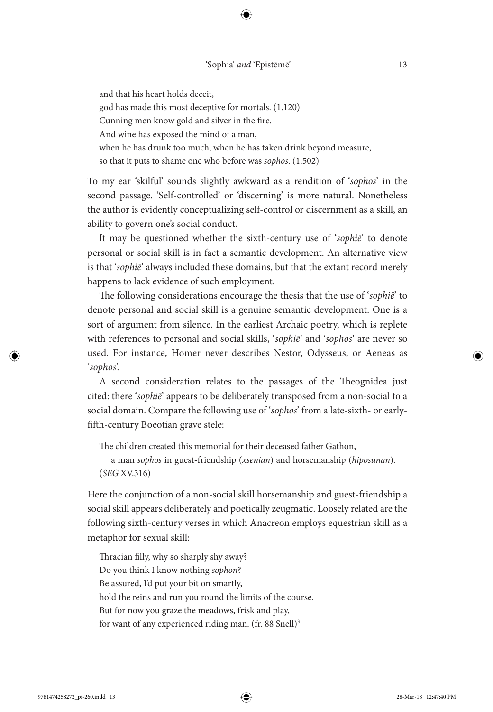and that his heart holds deceit, god has made this most deceptive for mortals. (1.120) Cunning men know gold and silver in the fire. And wine has exposed the mind of a man, when he has drunk too much, when he has taken drink beyond measure, so that it puts to shame one who before was *sophos* . (1.502)

To my ear 'skilful' sounds slightly awkward as a rendition of 'sophos' in the second passage. 'Self-controlled' or 'discerning' is more natural. Nonetheless the author is evidently conceptualizing self- control or discernment as a skill, an ability to govern one's social conduct.

It may be questioned whether the sixth-century use of 'sophie' to denote personal or social skill is in fact a semantic development. An alternative view is that 'sophie' always included these domains, but that the extant record merely happens to lack evidence of such employment.

The following considerations encourage the thesis that the use of 'sophie' to denote personal and social skill is a genuine semantic development. One is a sort of argument from silence. In the earliest Archaic poetry, which is replete with references to personal and social skills, 'sophie' and 'sophos' are never so used. For instance, Homer never describes Nestor, Odysseus, or Aeneas as ' *sophos* '.

A second consideration relates to the passages of the Theognidea just cited: there '*sophie*' appears to be deliberately transposed from a non-social to a social domain. Compare the following use of 'sophos' from a late-sixth- or earlyfifth-century Boeotian grave stele:

The children created this memorial for their deceased father Gathon,

```
 a man sophos in guest- friendship ( xsenian ) and horsemanship ( hiposunan ). 
( SEG XV.316)
```
 Here the conjunction of a non- social skill horsemanship and guest- friendship a social skill appears deliberately and poetically zeugmatic. Loosely related are the following sixth- century verses in which Anacreon employs equestrian skill as a metaphor for sexual skill:

Thracian filly, why so sharply shy away? Do you think I know nothing *sophon* ? Be assured, I'd put your bit on smartly, hold the reins and run you round the limits of the course. But for now you graze the meadows, frisk and play, for want of any experienced riding man. (fr. 88 Snell)<sup>3</sup>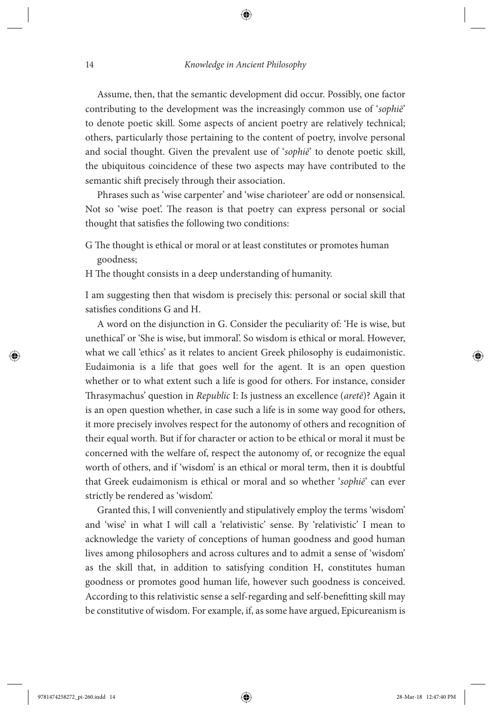Assume, then, that the semantic development did occur. Possibly, one factor contributing to the development was the increasingly common use of 'sophie' to denote poetic skill. Some aspects of ancient poetry are relatively technical; others, particularly those pertaining to the content of poetry, involve personal and social thought. Given the prevalent use of 'sophie' to denote poetic skill, the ubiquitous coincidence of these two aspects may have contributed to the semantic shift precisely through their association.

 Phrases such as 'wise carpenter' and 'wise charioteer' are odd or nonsensical. Not so 'wise poet'. The reason is that poetry can express personal or social thought that satisfies the following two conditions:

- G The thought is ethical or moral or at least constitutes or promotes human goodness;
- H The thought consists in a deep understanding of humanity.

 I am suggesting then that wisdom is precisely this: personal or social skill that satisfies conditions G and H.

 A word on the disjunction in G. Consider the peculiarity of: 'He is wise, but unethical' or 'She is wise, but immoral'. So wisdom is ethical or moral. However, what we call 'ethics' as it relates to ancient Greek philosophy is eudaimonistic. Eudaimonia is a life that goes well for the agent. It is an open question whether or to what extent such a life is good for others. For instance, consider Thrasymachus' question in *Republic* I: Is justness an excellence (aretē)? Again it is an open question whether, in case such a life is in some way good for others, it more precisely involves respect for the autonomy of others and recognition of their equal worth. But if for character or action to be ethical or moral it must be concerned with the welfare of, respect the autonomy of, or recognize the equal worth of others, and if 'wisdom' is an ethical or moral term, then it is doubtful that Greek eudaimonism is ethical or moral and so whether 'sophie' can ever strictly be rendered as 'wisdom'.

 Granted this, I will conveniently and stipulatively employ the terms 'wisdom' and 'wise' in what I will call a 'relativistic' sense. By 'relativistic' I mean to acknowledge the variety of conceptions of human goodness and good human lives among philosophers and across cultures and to admit a sense of 'wisdom' as the skill that, in addition to satisfying condition H, constitutes human goodness or promotes good human life, however such goodness is conceived. According to this relativistic sense a self-regarding and self-benefitting skill may be constitutive of wisdom. For example, if, as some have argued, Epicureanism is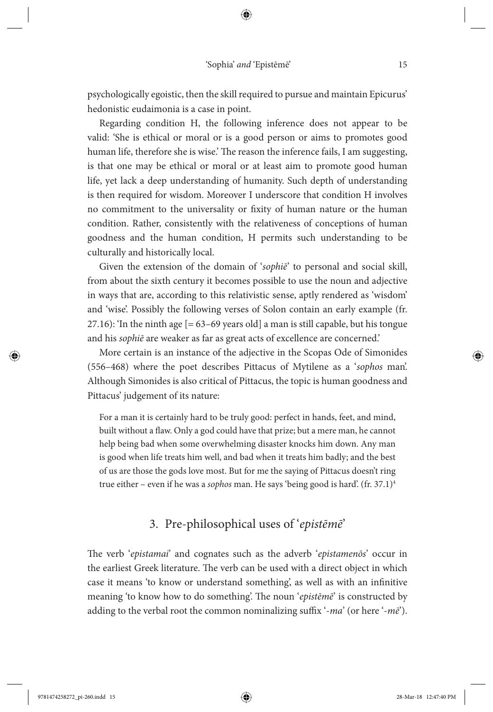psychologically egoistic, then the skill required to pursue and maintain Epicurus' hedonistic eudaimonia is a case in point.

 Regarding condition H, the following inference does not appear to be valid: 'She is ethical or moral or is a good person or aims to promotes good human life, therefore she is wise.' The reason the inference fails, I am suggesting, is that one may be ethical or moral or at least aim to promote good human life, yet lack a deep understanding of humanity. Such depth of understanding is then required for wisdom. Moreover I underscore that condition H involves no commitment to the universality or fixity of human nature or the human condition. Rather, consistently with the relativeness of conceptions of human goodness and the human condition, H permits such understanding to be culturally and historically local.

Given the extension of the domain of 'sophie' to personal and social skill, from about the sixth century it becomes possible to use the noun and adjective in ways that are, according to this relativistic sense, aptly rendered as 'wisdom' and 'wise'. Possibly the following verses of Solon contain an early example (fr. 27.16): 'In the ninth age  $[= 63-69 \text{ years old}]$  a man is still capable, but his tongue and his *sophi*ē are weaker as far as great acts of excellence are concerned.'

 More certain is an instance of the adjective in the Scopas Ode of Simonides (556– 468) where the poet describes Pittacus of Mytilene as a ' *sophos* man'. Although Simonides is also critical of Pittacus, the topic is human goodness and Pittacus' judgement of its nature:

 For a man it is certainly hard to be truly good: perfect in hands, feet, and mind, built without a flaw. Only a god could have that prize; but a mere man, he cannot help being bad when some overwhelming disaster knocks him down. Any man is good when life treats him well, and bad when it treats him badly; and the best of us are those the gods love most. But for me the saying of Pittacus doesn't ring true either – even if he was a *sophos* man. He says 'being good is hard'. (fr. 37.1) 4

## 3. Pre- philosophical uses of ' *epist*ē*m*ē '

The verb 'epistamai' and cognates such as the adverb 'epistamenos' occur in the earliest Greek literature. The verb can be used with a direct object in which case it means 'to know or understand something', as well as with an infinitive meaning 'to know how to do something'. The noun '*episteme*' is constructed by adding to the verbal root the common nominalizing suffix '-ma' (or here '-me').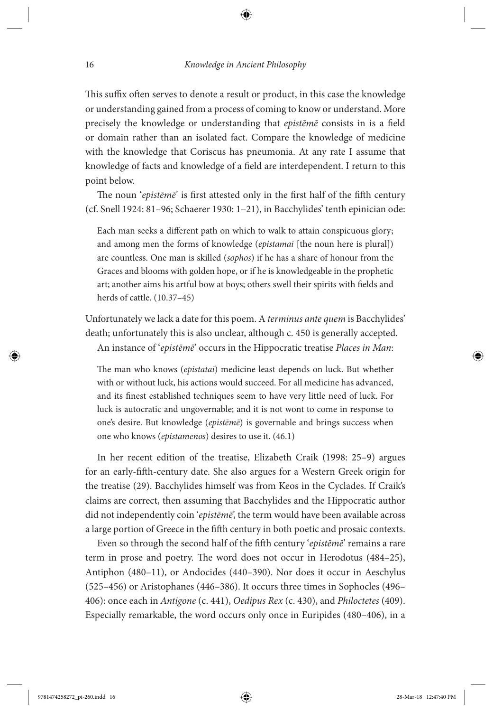This suffix often serves to denote a result or product, in this case the knowledge or understanding gained from a process of coming to know or understand. More precisely the knowledge or understanding that *episteme* consists in is a field or domain rather than an isolated fact. Compare the knowledge of medicine with the knowledge that Coriscus has pneumonia. At any rate I assume that knowledge of facts and knowledge of a field are interdependent. I return to this point below.

The noun '*episteme*' is first attested only in the first half of the fifth century (cf. Snell 1924: 81-96; Schaerer 1930: 1-21), in Bacchylides' tenth epinician ode:

Each man seeks a different path on which to walk to attain conspicuous glory; and among men the forms of knowledge (*epistamai* [the noun here is plural]) are countless. One man is skilled ( *sophos* ) if he has a share of honour from the Graces and blooms with golden hope, or if he is knowledgeable in the prophetic art; another aims his artful bow at boys; others swell their spirits with fields and herds of cattle. (10.37-45)

 Unfortunately we lack a date for this poem. A *terminus ante quem* is Bacchylides' death; unfortunately this is also unclear, although c. 450 is generally accepted.

An instance of 'epistēmē' occurs in the Hippocratic treatise Places in Man:

The man who knows (epistatai) medicine least depends on luck. But whether with or without luck, his actions would succeed. For all medicine has advanced, and its finest established techniques seem to have very little need of luck. For luck is autocratic and ungovernable; and it is not wont to come in response to one's desire. But knowledge (*epistēmē*) is governable and brings success when one who knows ( *epistamenos* ) desires to use it. (46.1)

In her recent edition of the treatise, Elizabeth Craik (1998: 25-9) argues for an early-fifth-century date. She also argues for a Western Greek origin for the treatise (29). Bacchylides himself was from Keos in the Cyclades. If Craik's claims are correct, then assuming that Bacchylides and the Hippocratic author did not independently coin 'epistēmē', the term would have been available across a large portion of Greece in the fifth century in both poetic and prosaic contexts.

Even so through the second half of the fifth century '*epistēmē*' remains a rare term in prose and poetry. The word does not occur in Herodotus (484-25), Antiphon (480-11), or Andocides (440-390). Nor does it occur in Aeschylus (525– 456) or Aristophanes (446– 386). It occurs three times in Sophocles (496– 406): once each in *Antigone* (c. 441), *Oedipus Rex* (c. 430), and *Philoctetes* (409). Especially remarkable, the word occurs only once in Euripides (480-406), in a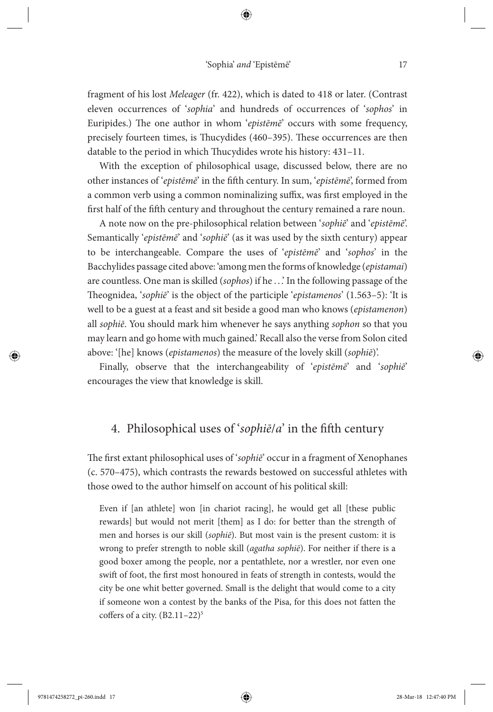fragment of his lost *Meleager* (fr. 422), which is dated to 418 or later. (Contrast eleven occurrences of 'sophia' and hundreds of occurrences of 'sophos' in Euripides.) The one author in whom 'episteme' occurs with some frequency, precisely fourteen times, is Thucydides (460-395). These occurrences are then datable to the period in which Thucydides wrote his history: 431-11.

 With the exception of philosophical usage, discussed below, there are no other instances of 'epistēmē' in the fifth century. In sum, 'epistēmē', formed from a common verb using a common nominalizing suffix, was first employed in the first half of the fifth century and throughout the century remained a rare noun.

 A note now on the pre- philosophical relation between ' *sophi*ē ' and ' *epist*ē*m*ē '. Semantically '*epistēmē*' and '*sophiē*' (as it was used by the sixth century) appear to be interchangeable. Compare the uses of ' *epist*ē*m*ē ' and ' *sophos* ' in the Bacchylides passage cited above: 'among men the forms of knowledge ( *epistamai* ) are countless. One man is skilled (*sophos*) if he ...' In the following passage of the Theognidea, '*sophië*' is the object of the participle '*epistamenos*' (1.563–5): 'It is well to be a guest at a feast and sit beside a good man who knows (*epistamenon*) all *sophi*ē . You should mark him whenever he says anything *sophon* so that you may learn and go home with much gained.' Recall also the verse from Solon cited above: '[he] knows ( *epistamenos* ) the measure of the lovely skill ( *sophi*ē )'.

Finally, observe that the interchangeability of 'episteme' and 'sophie' encourages the view that knowledge is skill.

## 4. Philosophical uses of 'sophie/a' in the fifth century

The first extant philosophical uses of 'sophie' occur in a fragment of Xenophanes (c. 570– 475), which contrasts the rewards bestowed on successful athletes with those owed to the author himself on account of his political skill:

 Even if [an athlete] won [in chariot racing], he would get all [these public rewards] but would not merit [them] as I do: for better than the strength of men and horses is our skill (*sophië*). But most vain is the present custom: it is wrong to prefer strength to noble skill (*agatha sophië*). For neither if there is a good boxer among the people, nor a pentathlete, nor a wrestler, nor even one swift of foot, the first most honoured in feats of strength in contests, would the city be one whit better governed. Small is the delight that would come to a city if someone won a contest by the banks of the Pisa, for this does not fatten the coffers of a city.  $(B2.11-22)^5$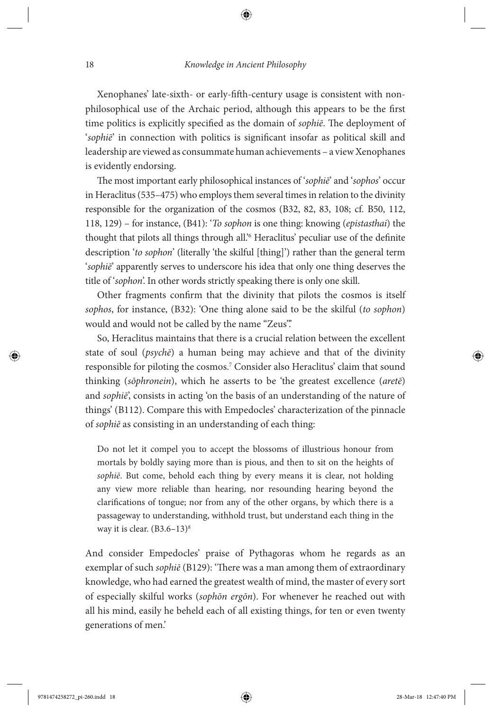Xenophanes' late-sixth- or early-fifth-century usage is consistent with nonphilosophical use of the Archaic period, although this appears to be the first time politics is explicitly specified as the domain of *sophie*. The deployment of 'sophiē' in connection with politics is significant insofar as political skill and leadership are viewed as consummate human achievements – a view Xenophanes is evidently endorsing.

The most important early philosophical instances of 'sophie' and 'sophos' occur in Heraclitus (535– 475) who employs them several times in relation to the divinity responsible for the organization of the cosmos (B32, 82, 83, 108; cf. B50, 112, 118, 129) – for instance, (B41): ' *To sophon* is one thing: knowing ( *epistasthai* ) the thought that pilots all things through all.<sup>6</sup> Heraclitus' peculiar use of the definite description 'to sophon' (literally 'the skilful [thing]') rather than the general term 'sophie' apparently serves to underscore his idea that only one thing deserves the title of 'sophon'. In other words strictly speaking there is only one skill.

Other fragments confirm that the divinity that pilots the cosmos is itself sophos, for instance, (B32): 'One thing alone said to be the skilful (to sophon) would and would not be called by the name "Zeus".

 So, Heraclitus maintains that there is a crucial relation between the excellent state of soul (psyche) a human being may achieve and that of the divinity responsible for piloting the cosmos.<sup>7</sup> Consider also Heraclitus' claim that sound thinking ( *s*ō*phronein* ), which he asserts to be 'the greatest excellence ( *aret*ē ) and *sophië*, consists in acting 'on the basis of an understanding of the nature of things' (B112). Compare this with Empedocles' characterization of the pinnacle of *sophi*ē as consisting in an understanding of each thing:

 Do not let it compel you to accept the blossoms of illustrious honour from mortals by boldly saying more than is pious, and then to sit on the heights of sophie. But come, behold each thing by every means it is clear, not holding any view more reliable than hearing, nor resounding hearing beyond the clarifications of tongue; nor from any of the other organs, by which there is a passageway to understanding, withhold trust, but understand each thing in the way it is clear.  $(B3.6-13)^8$ 

 And consider Empedocles' praise of Pythagoras whom he regards as an exemplar of such *sophiē* (B129): 'There was a man among them of extraordinary knowledge, who had earned the greatest wealth of mind, the master of every sort of especially skilful works ( *soph*ō*n erg*ō*n* ). For whenever he reached out with all his mind, easily he beheld each of all existing things, for ten or even twenty generations of men.'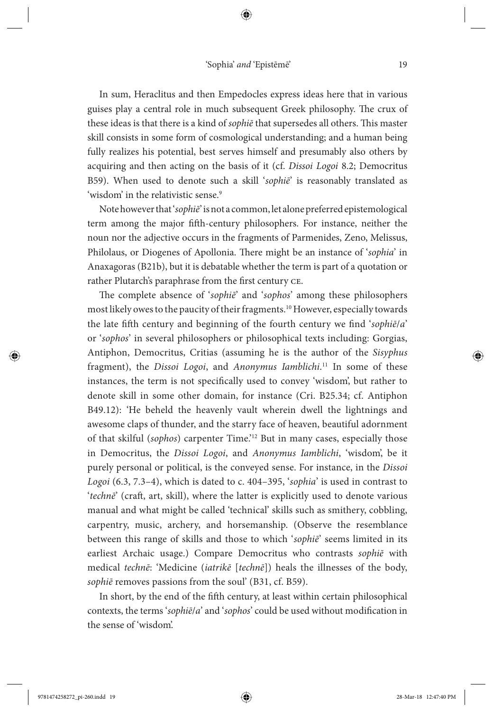In sum, Heraclitus and then Empedocles express ideas here that in various guises play a central role in much subsequent Greek philosophy. The crux of these ideas is that there is a kind of *sophie* that supersedes all others. This master skill consists in some form of cosmological understanding; and a human being fully realizes his potential, best serves himself and presumably also others by acquiring and then acting on the basis of it (cf. *Dissoi Logoi* 8.2; Democritus B59). When used to denote such a skill 'sophie' is reasonably translated as 'wisdom' in the relativistic sense.<sup>9</sup>

Note however that 'sophie' is not a common, let alone preferred epistemological term among the major fifth-century philosophers. For instance, neither the noun nor the adjective occurs in the fragments of Parmenides, Zeno, Melissus, Philolaus, or Diogenes of Apollonia. There might be an instance of 'sophia' in Anaxagoras (B21b), but it is debatable whether the term is part of a quotation or rather Plutarch's paraphrase from the first century CE.

The complete absence of 'sophie' and 'sophos' among these philosophers most likely owes to the paucity of their fragments. 10 However, especially towards the late fifth century and beginning of the fourth century we find 'sophie/a' or ' *sophos* ' in several philosophers or philosophical texts including: Gorgias, Antiphon, Democritus, Critias (assuming he is the author of the *Sisyphus* fragment), the *Dissoi Logoi*, and *Anonymus Iamblichi*.<sup>11</sup> In some of these instances, the term is not specifically used to convey 'wisdom', but rather to denote skill in some other domain, for instance (Cri. B25.34; cf. Antiphon B49.12): 'He beheld the heavenly vault wherein dwell the lightnings and awesome claps of thunder, and the starry face of heaven, beautiful adornment of that skilful (*sophos*) carpenter Time.'<sup>12</sup> But in many cases, especially those in Democritus, the *Dissoi Logoi* , and *Anonymus Iamblichi* , 'wisdom', be it purely personal or political, is the conveyed sense. For instance, in the *Dissoi*  Logoi (6.3, 7.3–4), which is dated to c. 404–395, 'sophia' is used in contrast to 'technē' (craft, art, skill), where the latter is explicitly used to denote various manual and what might be called 'technical' skills such as smithery, cobbling, carpentry, music, archery, and horsemanship. (Observe the resemblance between this range of skills and those to which 'sophie' seems limited in its earliest Archaic usage.) Compare Democritus who contrasts *sophi*ē with medical *techn*ē : 'Medicine ( *iatrik*ē [ *techn*ē ]) heals the illnesses of the body, *sophi*ē removes passions from the soul' (B31, cf. B59).

In short, by the end of the fifth century, at least within certain philosophical contexts, the terms 'sophie/a' and 'sophos' could be used without modification in the sense of 'wisdom'.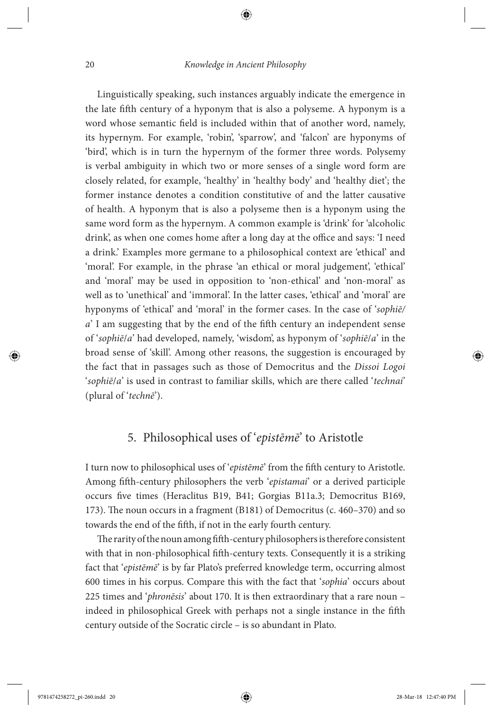Linguistically speaking, such instances arguably indicate the emergence in the late fifth century of a hyponym that is also a polyseme. A hyponym is a word whose semantic field is included within that of another word, namely, its hypernym. For example, 'robin', 'sparrow', and 'falcon' are hyponyms of 'bird', which is in turn the hypernym of the former three words. Polysemy is verbal ambiguity in which two or more senses of a single word form are closely related, for example, 'healthy' in 'healthy body' and 'healthy diet'; the former instance denotes a condition constitutive of and the latter causative of health. A hyponym that is also a polyseme then is a hyponym using the same word form as the hypernym. A common example is 'drink' for 'alcoholic drink', as when one comes home after a long day at the office and says: 'I need a drink.' Examples more germane to a philosophical context are 'ethical' and 'moral'. For example, in the phrase 'an ethical or moral judgement', 'ethical' and 'moral' may be used in opposition to 'non- ethical' and 'non- moral' as well as to 'unethical' and 'immoral'. In the latter cases, 'ethical' and 'moral' are hyponyms of 'ethical' and 'moral' in the former cases. In the case of ' *sophi*ē*/ a*' I am suggesting that by the end of the fifth century an independent sense of ' *sophi*ē / *a* ' had developed, namely, 'wisdom', as hyponym of ' *sophi*ē / *a* ' in the broad sense of 'skill'. Among other reasons, the suggestion is encouraged by the fact that in passages such as those of Democritus and the *Dissoi Logoi* 'sophiē/a' is used in contrast to familiar skills, which are there called 'technai' (plural of 'techne').

## 5. Philosophical uses of 'epistēmē' to Aristotle

I turn now to philosophical uses of 'episteme' from the fifth century to Aristotle. Among fifth-century philosophers the verb 'epistamai' or a derived participle occurs five times (Heraclitus B19, B41; Gorgias B11a.3; Democritus B169, 173). The noun occurs in a fragment (B181) of Democritus (c. 460–370) and so towards the end of the fifth, if not in the early fourth century.

The rarity of the noun among fifth-century philosophers is therefore consistent with that in non-philosophical fifth-century texts. Consequently it is a striking fact that 'episteme' is by far Plato's preferred knowledge term, occurring almost 600 times in his corpus. Compare this with the fact that ' *sophia* ' occurs about 225 times and '*phronēsis*' about 170. It is then extraordinary that a rare noun – indeed in philosophical Greek with perhaps not a single instance in the fifth century outside of the Socratic circle – is so abundant in Plato.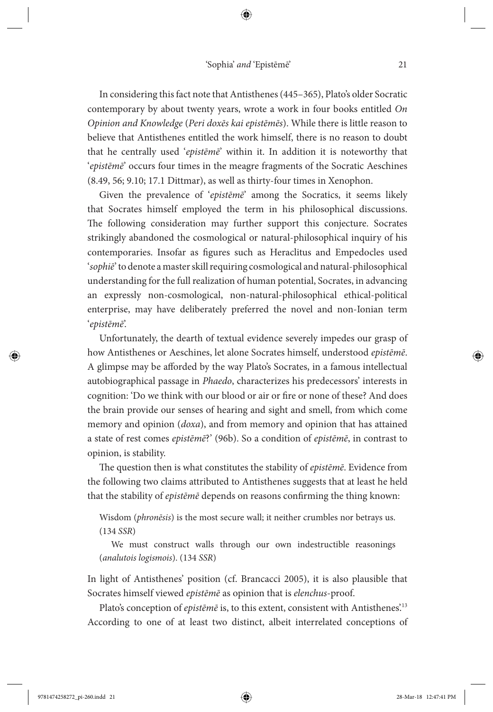In considering this fact note that Antisthenes (445–365), Plato's older Socratic contemporary by about twenty years, wrote a work in four books entitled *On Opinion and Knowledge* ( *Peri dox*ē*s kai epist*ē*m*ē*s* ). While there is little reason to believe that Antisthenes entitled the work himself, there is no reason to doubt that he centrally used 'episteme' within it. In addition it is noteworthy that 'epistēmē' occurs four times in the meagre fragments of the Socratic Aeschines (8.49, 56; 9.10; 17.1 Dittmar), as well as thirty- four times in Xenophon.

Given the prevalence of 'episteme' among the Socratics, it seems likely that Socrates himself employed the term in his philosophical discussions. The following consideration may further support this conjecture. Socrates strikingly abandoned the cosmological or natural- philosophical inquiry of his contemporaries. Insofar as figures such as Heraclitus and Empedocles used 'sophie' to denote a master skill requiring cosmological and natural-philosophical understanding for the full realization of human potential, Socrates, in advancing an expressly non-cosmological, non-natural-philosophical ethical-political enterprise, may have deliberately preferred the novel and non- Ionian term ' *epist*ē*m*ē '.

 Unfortunately, the dearth of textual evidence severely impedes our grasp of how Antisthenes or Aeschines, let alone Socrates himself, understood *epist*ē*m*ē . A glimpse may be afforded by the way Plato's Socrates, in a famous intellectual autobiographical passage in *Phaedo* , characterizes his predecessors' interests in cognition: 'Do we think with our blood or air or fire or none of these? And does the brain provide our senses of hearing and sight and smell, from which come memory and opinion (*doxa*), and from memory and opinion that has attained a state of rest comes *epistēmē*?' (96b). So a condition of *epistēmē*, in contrast to opinion, is stability.

The question then is what constitutes the stability of *episteme*. Evidence from the following two claims attributed to Antisthenes suggests that at least he held that the stability of *episteme* depends on reasons confirming the thing known:

Wisdom (*phronēsis*) is the most secure wall; it neither crumbles nor betrays us. (134 *SSR* )

 We must construct walls through our own indestructible reasonings ( *analutois logismois* ). (134 *SSR* )

In light of Antisthenes' position (cf. Brancacci 2005), it is also plausible that Socrates himself viewed *epist*ē*m*ē as opinion that is *elenchus* - proof.

Plato's conception of *episteme* is, to this extent, consistent with Antisthenes.<sup>13</sup> According to one of at least two distinct, albeit interrelated conceptions of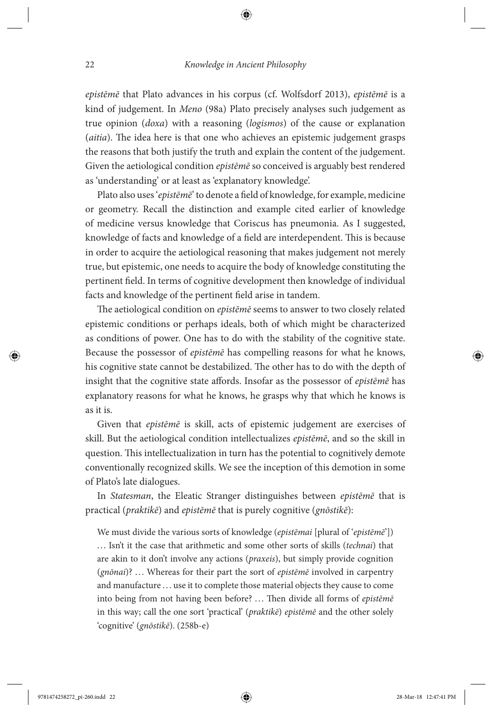*epist*ē*m*ē that Plato advances in his corpus (cf. Wolfsdorf 2013 ), *epist*ē*m*ē is a kind of judgement. In *Meno* (98a) Plato precisely analyses such judgement as true opinion (*doxa*) with a reasoning (*logismos*) of the cause or explanation (aitia). The idea here is that one who achieves an epistemic judgement grasps the reasons that both justify the truth and explain the content of the judgement. Given the aetiological condition *epist*ē*m*ē so conceived is arguably best rendered as 'understanding' or at least as 'explanatory knowledge'.

Plato also uses '*epistēmē*' to denote a field of knowledge, for example, medicine or geometry. Recall the distinction and example cited earlier of knowledge of medicine versus knowledge that Coriscus has pneumonia. As I suggested, knowledge of facts and knowledge of a field are interdependent. This is because in order to acquire the aetiological reasoning that makes judgement not merely true, but epistemic, one needs to acquire the body of knowledge constituting the pertinent field. In terms of cognitive development then knowledge of individual facts and knowledge of the pertinent field arise in tandem.

The aetiological condition on *episteme* seems to answer to two closely related epistemic conditions or perhaps ideals, both of which might be characterized as conditions of power. One has to do with the stability of the cognitive state. Because the possessor of *epist*ē*m*ē has compelling reasons for what he knows, his cognitive state cannot be destabilized. The other has to do with the depth of insight that the cognitive state affords. Insofar as the possessor of *episteme* has explanatory reasons for what he knows, he grasps why that which he knows is as it is.

Given that *epistēmē* is skill, acts of epistemic judgement are exercises of skill. But the aetiological condition intellectualizes *epistēmē*, and so the skill in question. This intellectualization in turn has the potential to cognitively demote conventionally recognized skills. We see the inception of this demotion in some of Plato's late dialogues.

 In *Statesman* , the Eleatic Stranger distinguishes between *epist*ē*m*ē that is practical ( *praktik*ē ) and *epist*ē*m*ē that is purely cognitive ( *gn*ō*stik*ē ):

We must divide the various sorts of knowledge (*epistēmai* [plural of '*epistēmē*']) ... Isn't it the case that arithmetic and some other sorts of skills (*technai*) that are akin to it don't involve any actions ( *praxeis* ), but simply provide cognition ( *gn*ō*nai* )? . . . Whereas for their part the sort of *epist*ē*m*ē involved in carpentry and manufacture . . . use it to complete those material objects they cause to come into being from not having been before? ... Then divide all forms of *episteme* in this way; call the one sort 'practical' (*praktike*) *episteme* and the other solely 'cognitive' ( *gn*ō*stik*ē ). (258b- e)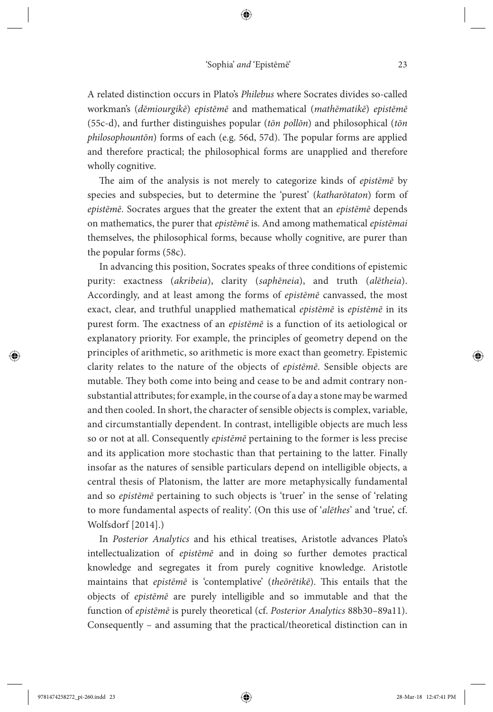A related distinction occurs in Plato's *Philebus* where Socrates divides so- called workman's ( *d*ē*miourgik*ē ) *epist*ē*m*ē and mathematical ( *math*ē*matik*ē ) *epist*ē*m*ē (55c- d), and further distinguishes popular ( *t*ō*n poll*ō*n* ) and philosophical ( *t*ō*n philosophountōn*) forms of each (e.g. 56d, 57d). The popular forms are applied and therefore practical; the philosophical forms are unapplied and therefore wholly cognitive.

The aim of the analysis is not merely to categorize kinds of *episteme* by species and subspecies, but to determine the 'purest' (katharōtaton) form of *epist*ē*m*ē . Socrates argues that the greater the extent that an *epist*ē*m*ē depends on mathematics, the purer that *epist*ē*m*ē is. And among mathematical *epist*ē*mai* themselves, the philosophical forms, because wholly cognitive, are purer than the popular forms (58c).

 In advancing this position, Socrates speaks of three conditions of epistemic purity: exactness ( *akribeia* ), clarity ( *saph*ē*neia* ), and truth ( *al*ē*theia* ). Accordingly, and at least among the forms of *epist*ē*m*ē canvassed, the most exact, clear, and truthful unapplied mathematical *epist*ē*m*ē is *epist*ē*m*ē in its purest form. The exactness of an *episteme* is a function of its aetiological or explanatory priority. For example, the principles of geometry depend on the principles of arithmetic, so arithmetic is more exact than geometry. Epistemic clarity relates to the nature of the objects of *episteme*. Sensible objects are mutable. They both come into being and cease to be and admit contrary nonsubstantial attributes; for example, in the course of a day a stone may be warmed and then cooled. In short, the character of sensible objects is complex, variable, and circumstantially dependent. In contrast, intelligible objects are much less so or not at all. Consequently *epist*ē*m*ē pertaining to the former is less precise and its application more stochastic than that pertaining to the latter. Finally insofar as the natures of sensible particulars depend on intelligible objects, a central thesis of Platonism, the latter are more metaphysically fundamental and so *epist*ē*m*ē pertaining to such objects is 'truer' in the sense of 'relating to more fundamental aspects of reality'. (On this use of ' *al*ē*thes* ' and 'true', cf. Wolfsdorf [2014].)

 In *Posterior Analytics* and his ethical treatises, Aristotle advances Plato's intellectualization of *epist*ē*m*ē and in doing so further demotes practical knowledge and segregates it from purely cognitive knowledge. Aristotle maintains that *epistēmē* is 'contemplative' (theoretike). This entails that the objects of *epist*ē*m*ē are purely intelligible and so immutable and that the function of *episteme* is purely theoretical (cf. *Posterior Analytics* 88b30-89a11). Consequently – and assuming that the practical/ theoretical distinction can in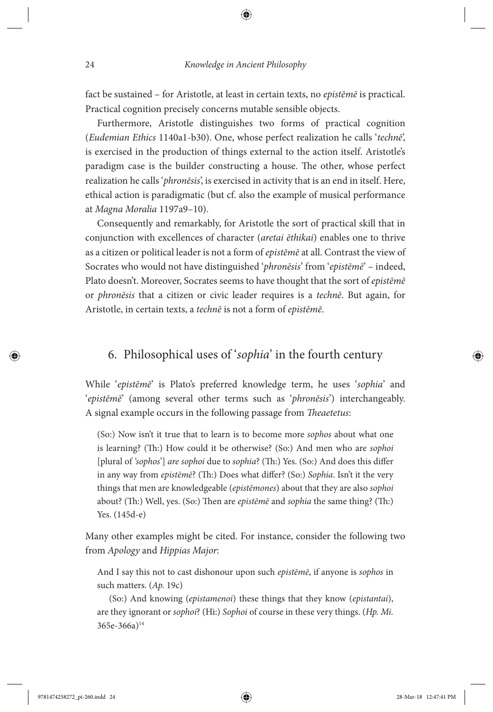fact be sustained – for Aristotle, at least in certain texts, no *epist*ē*m*ē is practical. Practical cognition precisely concerns mutable sensible objects.

 Furthermore, Aristotle distinguishes two forms of practical cognition ( *Eudemian Ethics* 1140a1- b30). One, whose perfect realization he calls ' *techn*ē ', is exercised in the production of things external to the action itself. Aristotle's paradigm case is the builder constructing a house. The other, whose perfect realization he calls '*phronēsis*', is exercised in activity that is an end in itself. Here, ethical action is paradigmatic (but cf. also the example of musical performance at *Magna Moralia* 1197a9– 10).

 Consequently and remarkably, for Aristotle the sort of practical skill that in conjunction with excellences of character ( *aretai* ē*thikai* ) enables one to thrive as a citizen or political leader is not a form of *epist*ē*m*ē at all. Contrast the view of Socrates who would not have distinguished '*phronēsis'* from '*epistēmē'* – indeed, Plato doesn't. Moreover, Socrates seems to have thought that the sort of *epist*ē*m*ē or *phron*ē*sis* that a citizen or civic leader requires is a *techn*ē . But again, for Aristotle, in certain texts, a *techn*ē is not a form of *epist*ē*m*ē .

## 6. Philosophical uses of ' *sophia* ' in the fourth century

While 'epistēmē' is Plato's preferred knowledge term, he uses 'sophia' and 'epistēmē' (among several other terms such as 'phronēsis') interchangeably. A signal example occurs in the following passage from Theaetetus:

 (So:) Now isn't it true that to learn is to become more *sophos* about what one is learning? (Th:) How could it be otherwise? (So:) And men who are *sophoi* [plural of 'sophos'] *are sophoi* due to *sophia*? (Th:) Yes. (So:) And does this differ in any way from *epistēmē*? (Th:) Does what differ? (So:) Sophia. Isn't it the very things that men are knowledgeable ( *epist*ē*mones* ) about that they are also *sophoi* about? (Th:) Well, yes. (So:) Then are *episteme* and *sophia* the same thing? (Th:) Yes. (145d-e)

 Many other examples might be cited. For instance, consider the following two from *Apology* and *Hippias Major* :

And I say this not to cast dishonour upon such *episteme*, if anyone is *sophos* in such matters. (Ap. 19c)

 (So:) And knowing ( *epistamenoi* ) these things that they know ( *epistantai* ), are they ignorant or *sophoi* ? (Hi:) *Sophoi* of course in these very things. ( *Hp. Mi.* 365e- 366a) 14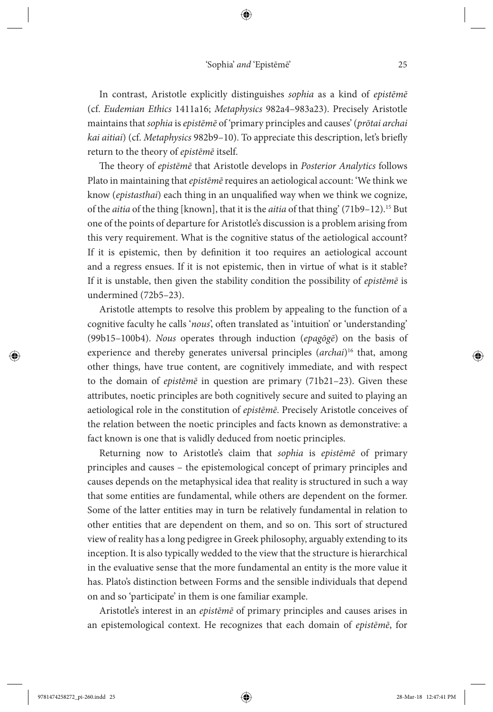In contrast, Aristotle explicitly distinguishes *sophia* as a kind of *epist*ē*m*ē (cf. *Eudemian Ethics* 1411a16; *Metaphysics* 982a4– 983a23). Precisely Aristotle maintains that *sophia* is *epist*ē*m*ē of 'primary principles and causes' ( *pr*ō*tai archai kai aitiai*) (cf. *Metaphysics* 982b9-10). To appreciate this description, let's briefly return to the theory of *epist*ē*m*ē itself.

The theory of *episteme* that Aristotle develops in *Posterior Analytics* follows Plato in maintaining that *epist*ē*m*ē requires an aetiological account: 'We think we know (epistasthai) each thing in an unqualified way when we think we cognize, of the *aitia* of the thing [known], that it is the *aitia* of that thing' (71b9–12).<sup>15</sup> But one of the points of departure for Aristotle's discussion is a problem arising from this very requirement. What is the cognitive status of the aetiological account? If it is epistemic, then by definition it too requires an aetiological account and a regress ensues. If it is not epistemic, then in virtue of what is it stable? If it is unstable, then given the stability condition the possibility of *epist*ē*m*ē is undermined (72b5-23).

 Aristotle attempts to resolve this problem by appealing to the function of a cognitive faculty he calls 'nous', often translated as 'intuition' or 'understanding' (99b15– 100b4). *Nous* operates through induction ( *epag*ō*g*ē ) on the basis of experience and thereby generates universal principles (*archai*)<sup>16</sup> that, among other things, have true content, are cognitively immediate, and with respect to the domain of *episteme* in question are primary (71b21-23). Given these attributes, noetic principles are both cognitively secure and suited to playing an aetiological role in the constitution of *episteme*. Precisely Aristotle conceives of the relation between the noetic principles and facts known as demonstrative: a fact known is one that is validly deduced from noetic principles.

 Returning now to Aristotle's claim that *sophia* is *epist*ē*m*ē of primary principles and causes – the epistemological concept of primary principles and causes depends on the metaphysical idea that reality is structured in such a way that some entities are fundamental, while others are dependent on the former. Some of the latter entities may in turn be relatively fundamental in relation to other entities that are dependent on them, and so on. This sort of structured view of reality has a long pedigree in Greek philosophy, arguably extending to its inception. It is also typically wedded to the view that the structure is hierarchical in the evaluative sense that the more fundamental an entity is the more value it has. Plato's distinction between Forms and the sensible individuals that depend on and so 'participate' in them is one familiar example.

 Aristotle's interest in an *epist*ē*m*ē of primary principles and causes arises in an epistemological context. He recognizes that each domain of *episteme*, for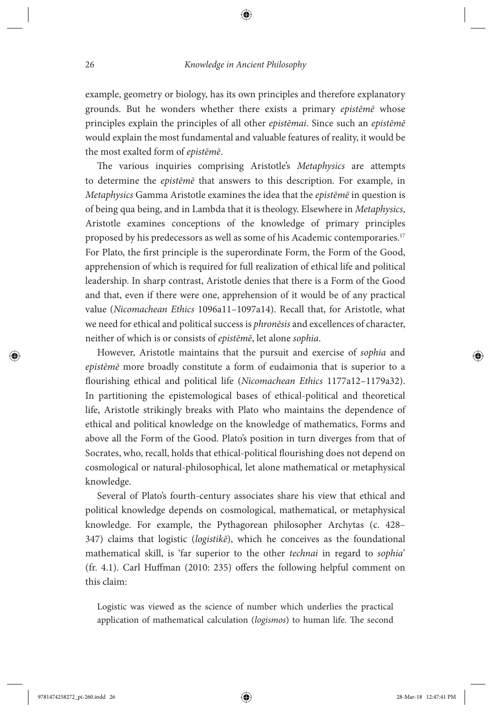example, geometry or biology, has its own principles and therefore explanatory grounds. But he wonders whether there exists a primary *epist*ē*m*ē whose principles explain the principles of all other *epist*ē*mai* . Since such an *epist*ē*m*ē would explain the most fundamental and valuable features of reality, it would be the most exalted form of *epist*ē*m*ē .

The various inquiries comprising Aristotle's *Metaphysics* are attempts to determine the *epist*ē*m*ē that answers to this description. For example, in *Metaphysics* Gamma Aristotle examines the idea that the *epist*ē*m*ē in question is of being qua being, and in Lambda that it is theology. Elsewhere in *Metaphysics* , Aristotle examines conceptions of the knowledge of primary principles proposed by his predecessors as well as some of his Academic contemporaries. 17 For Plato, the first principle is the superordinate Form, the Form of the Good, apprehension of which is required for full realization of ethical life and political leadership. In sharp contrast, Aristotle denies that there is a Form of the Good and that, even if there were one, apprehension of it would be of any practical value ( *Nicomachean Ethics* 1096a11– 1097a14). Recall that, for Aristotle, what we need for ethical and political success is *phron*ē*sis* and excellences of character, neither of which is or consists of *epist*ē*m*ē , let alone *sophia* .

 However, Aristotle maintains that the pursuit and exercise of *sophia* and *epist*ē*m*ē more broadly constitute a form of eudaimonia that is superior to a flourishing ethical and political life (*Nicomachean Ethics* 1177a12-1179a32). In partitioning the epistemological bases of ethical- political and theoretical life, Aristotle strikingly breaks with Plato who maintains the dependence of ethical and political knowledge on the knowledge of mathematics, Forms and above all the Form of the Good. Plato's position in turn diverges from that of Socrates, who, recall, holds that ethical-political flourishing does not depend on cosmological or natural- philosophical, let alone mathematical or metaphysical knowledge.

 Several of Plato's fourth- century associates share his view that ethical and political knowledge depends on cosmological, mathematical, or metaphysical knowledge. For example, the Pythagorean philosopher Archytas (c. 428– 347) claims that logistic ( *logistik*ē ), which he conceives as the foundational mathematical skill, is 'far superior to the other *technai* in regard to *sophia* ' (fr. 4.1). Carl Huffman (2010: 235) offers the following helpful comment on this claim:

 Logistic was viewed as the science of number which underlies the practical application of mathematical calculation (*logismos*) to human life. The second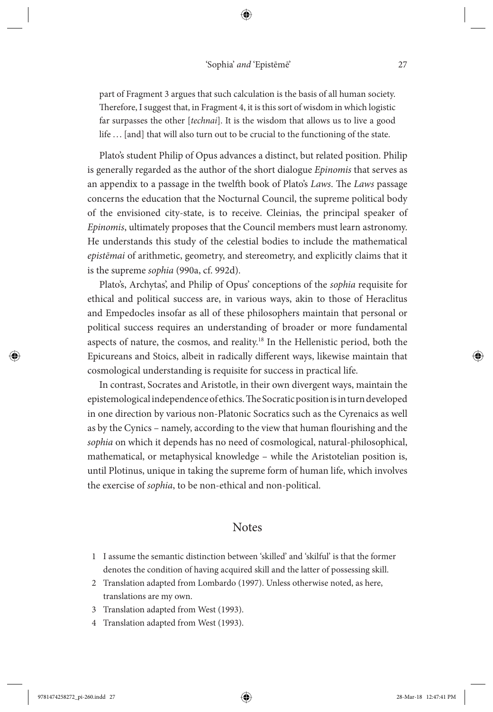part of Fragment 3 argues that such calculation is the basis of all human society. Therefore, I suggest that, in Fragment 4, it is this sort of wisdom in which logistic far surpasses the other [*technai*]. It is the wisdom that allows us to live a good life ... [and] that will also turn out to be crucial to the functioning of the state.

 Plato's student Philip of Opus advances a distinct, but related position. Philip is generally regarded as the author of the short dialogue *Epinomis* that serves as an appendix to a passage in the twelfth book of Plato's *Laws*. The *Laws* passage concerns the education that the Nocturnal Council, the supreme political body of the envisioned city- state, is to receive. Cleinias, the principal speaker of *Epinomis* , ultimately proposes that the Council members must learn astronomy. He understands this study of the celestial bodies to include the mathematical *epist*ē*mai* of arithmetic, geometry, and stereometry, and explicitly claims that it is the supreme *sophia* (990a, cf. 992d).

 Plato's, Archytas', and Philip of Opus' conceptions of the *sophia* requisite for ethical and political success are, in various ways, akin to those of Heraclitus and Empedocles insofar as all of these philosophers maintain that personal or political success requires an understanding of broader or more fundamental aspects of nature, the cosmos, and reality. 18 In the Hellenistic period, both the Epicureans and Stoics, albeit in radically different ways, likewise maintain that cosmological understanding is requisite for success in practical life.

 In contrast, Socrates and Aristotle, in their own divergent ways, maintain the epistemological independence of ethics. The Socratic position is in turn developed in one direction by various non- Platonic Socratics such as the Cyrenaics as well as by the Cynics – namely, according to the view that human flourishing and the *sophia* on which it depends has no need of cosmological, natural- philosophical, mathematical, or metaphysical knowledge – while the Aristotelian position is, until Plotinus, unique in taking the supreme form of human life, which involves the exercise of *sophia* , to be non- ethical and non- political.

#### **Notes**

- 1 I assume the semantic distinction between 'skilled' and 'skilful' is that the former denotes the condition of having acquired skill and the latter of possessing skill.
- 2 Translation adapted from Lombardo (1997). Unless otherwise noted, as here, translations are my own.
- 3 Translation adapted from West (1993).
- 4 Translation adapted from West (1993).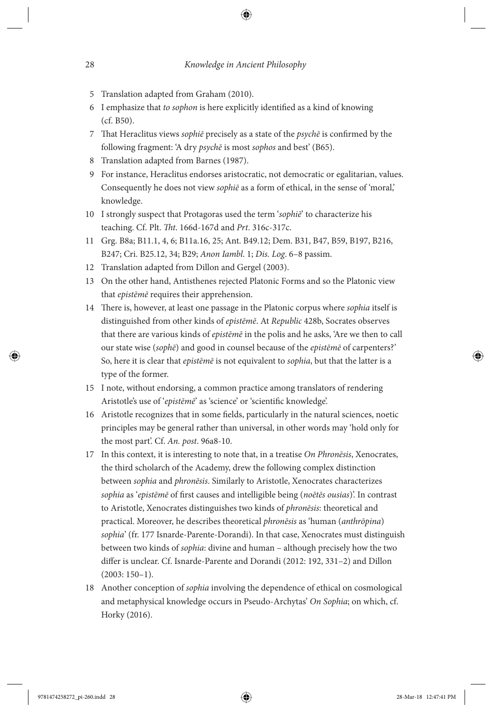- 5 Translation adapted from Graham (2010).
- 6 I emphasize that to sophon is here explicitly identified as a kind of knowing (cf. B50).
- 7 That Heraclitus views *sophie* precisely as a state of the *psyche* is confirmed by the following fragment: 'A dry *psych*ē is most *sophos* and best' (B65).
- 8 Translation adapted from Barnes (1987).
- 9 For instance, Heraclitus endorses aristocratic, not democratic or egalitarian, values. Consequently he does not view *sophi*ē as a form of ethical, in the sense of 'moral,' knowledge.
- 10 I strongly suspect that Protagoras used the term ' *sophi*ē ' to characterize his teaching. Cf. Plt. Tht. 166d-167d and Prt. 316c-317c.
- 11 Grg. B8a; B11.1, 4, 6; B11a.16, 25; Ant. B49.12; Dem. B31, B47, B59, B197, B216, B247; Cri. B25.12, 34; B29; *Anon Iambl* . 1; *Dis. Log* . 6– 8 passim.
- 12 Translation adapted from Dillon and Gergel (2003).
- 13 On the other hand, Antisthenes rejected Platonic Forms and so the Platonic view that *epist*ē*m*ē requires their apprehension.
- 14 There is, however, at least one passage in the Platonic corpus where *sophia* itself is distinguished from other kinds of *epistēmē*. At *Republic* 428b, Socrates observes that there are various kinds of *epist*ē*m*ē in the polis and he asks, 'Are we then to call our state wise ( *soph*ē ) and good in counsel because of the *epist*ē*m*ē of carpenters?' So, here it is clear that *epist*ē*m*ē is not equivalent to *sophia* , but that the latter is a type of the former.
- 15 I note, without endorsing, a common practice among translators of rendering Aristotle's use of 'epistēmē' as 'science' or 'scientific knowledge'.
- 16 Aristotle recognizes that in some fields, particularly in the natural sciences, noetic principles may be general rather than universal, in other words may 'hold only for the most part'. Cf. *An. post* . 96a8- 10.
- 17 In this context, it is interesting to note that, in a treatise *On Phron*ē*sis* , Xenocrates, the third scholarch of the Academy, drew the following complex distinction between *sophia* and *phron*ē*sis* . Similarly to Aristotle, Xenocrates characterizes *sophia* as ' *epist*ē*m*ē of f rst causes and intelligible being ( *no*ē*t*ē*s ousias* )'. In contrast to Aristotle, Xenocrates distinguishes two kinds of *phron*ē*sis* : theoretical and practical. Moreover, he describes theoretical *phron*ē*sis* as 'human ( *anthr*ō*pina* ) sophia' (fr. 177 Isnarde-Parente-Dorandi). In that case, Xenocrates must distinguish between two kinds of *sophia* : divine and human – although precisely how the two differ is unclear. Cf. Isnarde-Parente and Dorandi (2012: 192, 331-2) and Dillon  $(2003:150-1).$
- 18 Another conception of *sophia* involving the dependence of ethical on cosmological and metaphysical knowledge occurs in Pseudo-Archytas' On Sophia; on which, cf. Horky (2016).